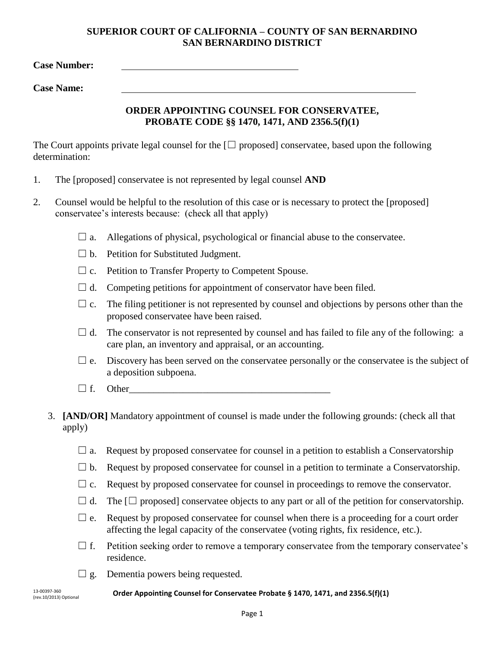## **SUPERIOR COURT OF CALIFORNIA – COUNTY OF SAN BERNARDINO SAN BERNARDINO DISTRICT**

**Case Number:**

**Case Name:** 

## **ORDER APPOINTING COUNSEL FOR CONSERVATEE, PROBATE CODE §§ 1470, 1471, AND 2356.5(f)(1)**

The Court appoints private legal counsel for the  $\Box$  proposed conservatee, based upon the following determination:

- 1. The [proposed] conservatee is not represented by legal counsel **AND**
- 2. Counsel would be helpful to the resolution of this case or is necessary to protect the [proposed] conservatee's interests because: (check all that apply)
	- $\Box$  a. Allegations of physical, psychological or financial abuse to the conservatee.
	- $\Box$  b. Petition for Substituted Judgment.
	- $\Box$  c. Petition to Transfer Property to Competent Spouse.
	- $\Box$  d. Competing petitions for appointment of conservator have been filed.
	- $\Box$  c. The filing petitioner is not represented by counsel and objections by persons other than the proposed conservatee have been raised.
	- $\Box$  d. The conservator is not represented by counsel and has failed to file any of the following: a care plan, an inventory and appraisal, or an accounting.
	- $\Box$  e. Discovery has been served on the conservatee personally or the conservatee is the subject of a deposition subpoena.
	- $\Box$  f. Other
	- 3. **[AND/OR]** Mandatory appointment of counsel is made under the following grounds: (check all that apply)
		- $\Box$  a. Request by proposed conservatee for counsel in a petition to establish a Conservatorship
		- $\Box$  b. Request by proposed conservatee for counsel in a petition to terminate a Conservatorship.
		- $\Box$  c. Request by proposed conservatee for counsel in proceedings to remove the conservator.
		- $\Box$  d. The  $\Box$  proposed] conservatee objects to any part or all of the petition for conservatorship.
		- $\Box$  e. Request by proposed conservatee for counsel when there is a proceeding for a court order affecting the legal capacity of the conservatee (voting rights, fix residence, etc.).
		- $\Box$  f. Petition seeking order to remove a temporary conservatee from the temporary conservatee's residence.
		- $\Box$  g. Dementia powers being requested.

(rev.10/2013) Optional

<sup>13-00397-360</sup><br> **Conservatee Probate § 1470, 1471, and 2356.5(f)(1)** 13-00397-360